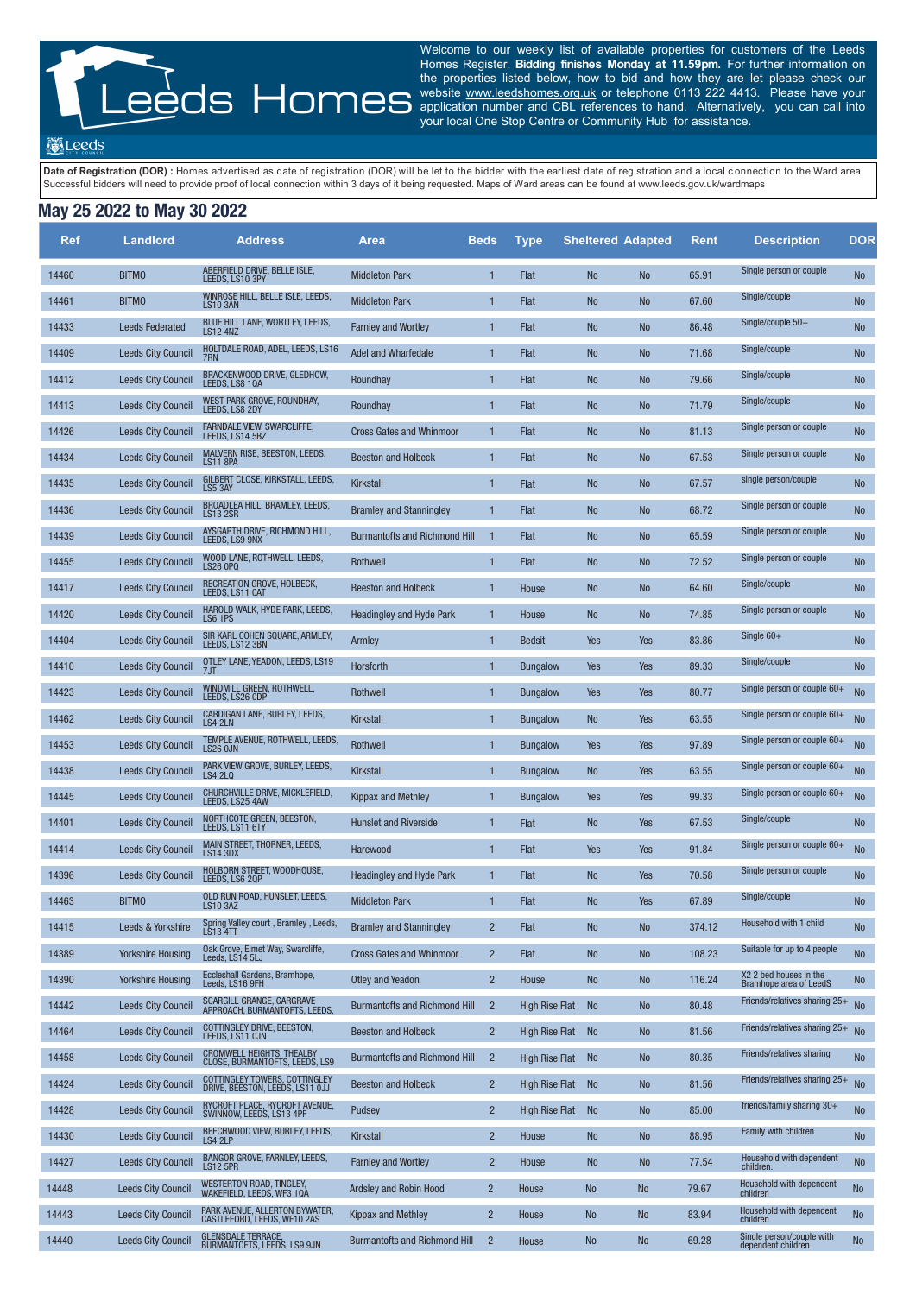Welcome to our weekly list of available properties for customers of the Leeds Homes Register. **Bidding finishes Monday at 11.59pm.** For further information on the properties listed below, how to bid and how they are let please check our website www.leedshomes.org.uk or telephone 0113 222 4413. Please have your application number and CBL references to hand. Alternatively, you can call into your local One Stop Centre or Community Hub for assistance.

**M** Leeds

Date of Registration (DOR) : Homes advertised as date of registration (DOR) will be let to the bidder with the earliest date of registration and a local connection to the Ward area. Successful bidders will need to provide proof of local connection within 3 days of it being requested. Maps of Ward areas can be found at www.leeds.gov.uk/wardmaps

## **May 25 2022 to May 30 2022**

| <b>Ref</b> | <b>Landlord</b>           | <b>Address</b>                                                     | <b>Area</b>                          | <b>Beds</b>    | <b>Type</b>           | <b>Sheltered Adapted</b> |            | <b>Rent</b> | <b>Description</b>                               | <b>DOR</b>     |
|------------|---------------------------|--------------------------------------------------------------------|--------------------------------------|----------------|-----------------------|--------------------------|------------|-------------|--------------------------------------------------|----------------|
| 14460      | <b>BITMO</b>              | ABERFIELD DRIVE, BELLE ISLE,<br>LEEDS, LS10 3PY                    | <b>Middleton Park</b>                | 1              | Flat                  | <b>No</b>                | <b>No</b>  | 65.91       | Single person or couple                          | <b>No</b>      |
| 14461      | <b>BITMO</b>              | WINROSE HILL, BELLE ISLE, LEEDS,<br>LS103AN                        | <b>Middleton Park</b>                | $\mathbf{1}$   | Flat                  | <b>No</b>                | <b>No</b>  | 67.60       | Single/couple                                    | <b>No</b>      |
| 14433      | <b>Leeds Federated</b>    | BLUE HILL LANE, WORTLEY, LEEDS,<br><b>LS12 4NZ</b>                 | <b>Farnley and Wortley</b>           | $\mathbf{1}$   | Flat                  | <b>No</b>                | <b>No</b>  | 86.48       | Single/couple $50+$                              | <b>No</b>      |
| 14409      | <b>Leeds City Council</b> | HOLTDALE ROAD, ADEL, LEEDS, LS16<br>7RN.                           | Adel and Wharfedale                  | $\mathbf{1}$   | Flat                  | <b>No</b>                | <b>No</b>  | 71.68       | Single/couple                                    | <b>No</b>      |
| 14412      | <b>Leeds City Council</b> | BRACKENWOOD DRIVE, GLEDHOW,<br>LEEDS. LS8 10A                      | Roundhay                             | $\mathbf{1}$   | Flat                  | <b>No</b>                | <b>No</b>  | 79.66       | Single/couple                                    | No             |
| 14413      | <b>Leeds City Council</b> | WEST PARK GROVE, ROUNDHAY,<br>LEEDS, LS8 2DY                       | Roundhay                             | $\mathbf{1}$   | Flat                  | <b>No</b>                | <b>No</b>  | 71.79       | Single/couple                                    | <b>No</b>      |
| 14426      | <b>Leeds City Council</b> | <b>FARNDALE VIEW, SWARCLIFFE,</b><br>LEEDS, LS14 5BZ               | <b>Cross Gates and Whinmoor</b>      | $\mathbf{1}$   | Flat                  | <b>No</b>                | <b>No</b>  | 81.13       | Single person or couple                          | <b>No</b>      |
| 14434      | <b>Leeds City Council</b> | MALVERN RISE, BEESTON, LEEDS,<br><b>LS11 8PA</b>                   | <b>Beeston and Holbeck</b>           | $\mathbf{1}$   | Flat                  | <b>No</b>                | <b>No</b>  | 67.53       | Single person or couple                          | <b>No</b>      |
| 14435      | <b>Leeds City Council</b> | GILBERT CLOSE, KIRKSTALL, LEEDS,<br>LS5 3AY                        | <b>Kirkstall</b>                     | $\mathbf{1}$   | Flat                  | <b>No</b>                | <b>No</b>  | 67.57       | single person/couple                             | <b>No</b>      |
| 14436      | <b>Leeds City Council</b> | BROADLEA HILL, BRAMLEY, LEEDS.<br>LS13 2SR                         | <b>Bramley and Stanningley</b>       | $\mathbf{1}$   | Flat                  | <b>No</b>                | <b>No</b>  | 68.72       | Single person or couple                          | <b>No</b>      |
| 14439      | <b>Leeds City Council</b> | AYSGARTH DRIVE, RICHMOND HILL,<br>LEEDS, LS9 9NX                   | <b>Burmantofts and Richmond Hill</b> | $\mathbf{1}$   | Flat                  | <b>No</b>                | <b>No</b>  | 65.59       | Single person or couple                          | <b>No</b>      |
| 14455      | <b>Leeds City Council</b> | WOOD LANE, ROTHWELL, LEEDS,<br>LS26 OPQ                            | Rothwell                             | $\mathbf{1}$   | Flat                  | <b>No</b>                | <b>No</b>  | 72.52       | Single person or couple                          | <b>No</b>      |
| 14417      | <b>Leeds City Council</b> | RECREATION GROVE, HOLBECK,<br>LEEDS, LS11 0AT                      | <b>Beeston and Holbeck</b>           | $\mathbf{1}$   | House                 | <b>No</b>                | <b>No</b>  | 64.60       | Single/couple                                    | <b>No</b>      |
| 14420      | <b>Leeds City Council</b> | HAROLD WALK, HYDE PARK, LEEDS,<br>LS6 1PS                          | Headingley and Hyde Park             | $\mathbf{1}$   | House                 | <b>No</b>                | <b>No</b>  | 74.85       | Single person or couple                          | <b>No</b>      |
| 14404      | <b>Leeds City Council</b> | SIR KARL COHEN SQUARE, ARMLEY,<br>LEEDS, LS12 3BN                  | Armley                               | $\mathbf{1}$   | <b>Bedsit</b>         | Yes                      | Yes        | 83.86       | Single $60+$                                     | <b>No</b>      |
| 14410      | <b>Leeds City Council</b> | OTLEY LANE, YEADON, LEEDS, LS19<br>7JT                             | Horsforth                            | $\mathbf{1}$   | <b>Bungalow</b>       | Yes                      | Yes        | 89.33       | Single/couple                                    | <b>No</b>      |
| 14423      | <b>Leeds City Council</b> | WINDMILL GREEN, ROTHWELL,<br>LEEDS, LS26 ODP                       | Rothwell                             | $\mathbf{1}$   | <b>Bungalow</b>       | Yes                      | Yes        | 80.77       | Single person or couple 60+                      | <b>No</b>      |
| 14462      | <b>Leeds City Council</b> | CARDIGAN LANE, BURLEY, LEEDS,<br>LS4 2LN                           | Kirkstall                            |                | <b>Bungalow</b>       | <b>No</b>                | Yes        | 63.55       | Single person or couple 60+                      | <b>No</b>      |
| 14453      | <b>Leeds City Council</b> | TEMPLE AVENUE, ROTHWELL, LEEDS,<br>LS26 OJN                        | Rothwell                             | 1              | <b>Bungalow</b>       | Yes                      | <b>Yes</b> | 97.89       | Single person or couple $60+$                    | <b>No</b>      |
| 14438      | <b>Leeds City Council</b> | PARK VIEW GROVE, BURLEY, LEEDS,<br>LS4 2LQ                         | Kirkstall                            | 1              | <b>Bungalow</b>       | <b>No</b>                | Yes        | 63.55       | Single person or couple 60+                      | <b>No</b>      |
| 14445      | <b>Leeds City Council</b> | CHURCHVILLE DRIVE, MICKLEFIELD,<br>LEEDS, LS25 4AW                 | <b>Kippax and Methley</b>            | 1              | <b>Bungalow</b>       | Yes                      | Yes        | 99.33       | Single person or couple $60+$                    | <b>No</b>      |
| 14401      | <b>Leeds City Council</b> | NORTHCOTE GREEN, BEESTON,<br>LEEDS, LS11 6TY                       | <b>Hunslet and Riverside</b>         | 1              | Flat                  | <b>No</b>                | Yes        | 67.53       | Single/couple                                    | <b>No</b>      |
| 14414      | <b>Leeds City Council</b> | MAIN STREET, THORNER, LEEDS,<br>LS14 3DX                           | Harewood                             | 1              | Flat                  | Yes                      | Yes        | 91.84       | Single person or couple 60+                      | <b>No</b>      |
| 14396      | <b>Leeds City Council</b> | HOLBORN STREET, WOODHOUSE,<br>LEEDS, LS6 2QP                       | <b>Headingley and Hyde Park</b>      | 1              | Flat                  | <b>No</b>                | Yes        | 70.58       | Single person or couple                          | <b>No</b>      |
| 14463      | <b>BITMO</b>              | OLD RUN ROAD, HUNSLET, LEEDS,<br>LS10 3AZ                          | <b>Middleton Park</b>                | 1              | Flat                  | <b>No</b>                | Yes        | 67.89       | Single/couple                                    | <b>No</b>      |
| 14415      | Leeds & Yorkshire         | Spring Valley court, Bramley, Leeds,<br>LS13 4TT                   | <b>Bramley and Stanningley</b>       | $\overline{2}$ | Flat                  | <b>No</b>                | <b>No</b>  | 374.12      | Household with 1 child                           | <b>No</b>      |
| 14389      | <b>Yorkshire Housing</b>  | Oak Grove, Elmet Way, Swarcliffe,<br>Leeds, LS14 5LJ               | <b>Cross Gates and Whinmoor</b>      | $\overline{2}$ | Flat                  | <b>No</b>                | <b>No</b>  | 108.23      | Suitable for up to 4 people                      | <b>No</b>      |
| 14390      | <b>Yorkshire Housing</b>  | Eccleshall Gardens, Bramhope,<br>Leeds, LS16 9FH                   | <b>Otley and Yeadon</b>              | $\overline{2}$ | House                 | <b>No</b>                | <b>No</b>  | 116.24      | X2 2 bed houses in the<br>Bramhope area of LeedS | N <sub>o</sub> |
| 14442      | <b>Leeds City Council</b> | SCARGILL GRANGE, GARGRAVE<br>APPROACH, BURMANTOFTS, LEEDS,         | <b>Burmantofts and Richmond Hill</b> | $\overline{2}$ | <b>High Rise Flat</b> | <b>No</b>                | <b>No</b>  | 80.48       | Friends/relatives sharing 25+                    | <b>No</b>      |
| 14464      | <b>Leeds City Council</b> | <b>COTTINGLEY DRIVE, BEESTON,</b><br>LEEDS, LS11 OJN               | <b>Beeston and Holbeck</b>           | $\overline{2}$ | <b>High Rise Flat</b> | <b>No</b>                | <b>No</b>  | 81.56       | Friends/relatives sharing 25+                    | <b>No</b>      |
| 14458      | <b>Leeds City Council</b> | <b>CROMWELL HEIGHTS, THEALBY</b><br>CLOSE, BURMANTOFTS, LEEDS, LS9 | <b>Burmantofts and Richmond Hill</b> | $\overline{2}$ | <b>High Rise Flat</b> | <b>No</b>                | <b>No</b>  | 80.35       | Friends/relatives sharing                        | <b>No</b>      |
| 14424      | <b>Leeds City Council</b> | COTTINGLEY TOWERS, COTTINGLEY<br>DRIVE, BEESTON, LEEDS, LS11 OJJ   | <b>Beeston and Holbeck</b>           | $\overline{2}$ | <b>High Rise Flat</b> | <b>No</b>                | <b>No</b>  | 81.56       | Friends/relatives sharing 25+                    | <b>No</b>      |
| 14428      | <b>Leeds City Council</b> | RYCROFT PLACE, RYCROFT AVENUE,<br>SWINNOW, LEEDS, LS13 4PF         | Pudsey                               | $\overline{2}$ | <b>High Rise Flat</b> | <b>No</b>                | <b>No</b>  | 85.00       | friends/family sharing $30+$                     | <b>No</b>      |
| 14430      | <b>Leeds City Council</b> | BEECHWOOD VIEW, BURLEY, LEEDS,<br>LS4 2LP                          | <b>Kirkstall</b>                     | $\overline{2}$ | House                 | <b>No</b>                | <b>No</b>  | 88.95       | Family with children                             | <b>No</b>      |
| 14427      | <b>Leeds City Council</b> | BANGOR GROVE, FARNLEY, LEEDS,<br><b>LS12 5PR</b>                   | <b>Farnley and Wortley</b>           | $\overline{2}$ | House                 | <b>No</b>                | <b>No</b>  | 77.54       | Household with dependent<br>children.            | <b>No</b>      |
| 14448      | <b>Leeds City Council</b> | <b>WESTERTON ROAD, TINGLEY,</b><br>WAKEFIELD, LEEDS, WF3 1QA       | Ardsley and Robin Hood               | $\overline{2}$ | House                 | N <sub>o</sub>           | <b>No</b>  | 79.67       | Household with dependent<br>children             | <b>No</b>      |
| 14443      | <b>Leeds City Council</b> | PARK AVENUE, ALLERTON BYWATER,<br>CASTLEFORD, LEEDS, WF10 2AS      | <b>Kippax and Methley</b>            | $\overline{2}$ | House                 | No                       | <b>No</b>  | 83.94       | Household with dependent<br>children             | <b>No</b>      |
| 14440      | <b>Leeds City Council</b> | <b>GLENSDALE TERRACE,</b><br>BURMANTOFTS, LEEDS, LS9 9JN           | <b>Burmantofts and Richmond Hill</b> | $\overline{2}$ | House                 | <b>No</b>                | <b>No</b>  | 69.28       | Single person/couple with<br>dependent children  | <b>No</b>      |